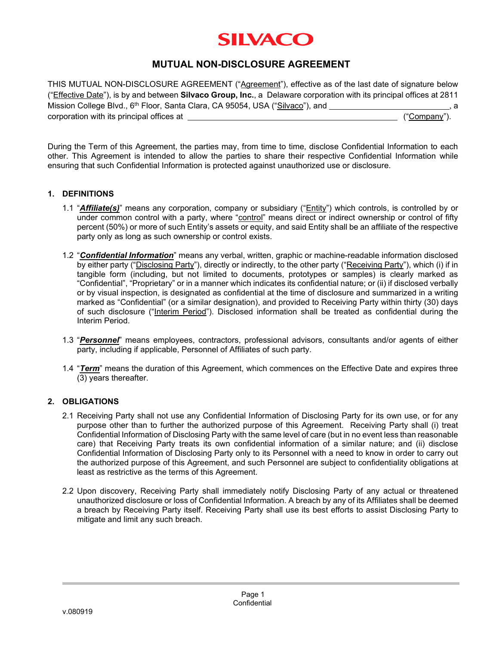# **SILVACO**

## **MUTUAL NON-DISCLOSURE AGREEMENT**

THIS MUTUAL NON-DISCLOSURE AGREEMENT ("Agreement"), effective as of the last date of signature below ("Effective Date"), is by and between **Silvaco Group, Inc.**, a Delaware corporation with its principal offices at 2811 Mission College Blvd., 6<sup>th</sup> Floor, Santa Clara, CA 95054, USA ("Silvaco"), and **construe that the set of the set of the set of the set of the set of the set of the set of the set of the set of the set of the set of the se** corporation with its principal offices at  $\qquad \qquad$  ("Company").

During the Term of this Agreement, the parties may, from time to time, disclose Confidential Information to each other. This Agreement is intended to allow the parties to share their respective Confidential Information while ensuring that such Confidential Information is protected against unauthorized use or disclosure.

#### **1. DEFINITIONS**

- 1.1 "*Affiliate(s)*" means any corporation, company or subsidiary ("Entity") which controls, is controlled by or under common control with a party, where "control" means direct or indirect ownership or control of fifty percent (50%) or more of such Entity's assets or equity, and said Entity shall be an affiliate of the respective party only as long as such ownership or control exists.
- 1.2 "*Confidential Information*" means any verbal, written, graphic or machine-readable information disclosed by either party ("Disclosing Party"), directly or indirectly, to the other party ("Receiving Party"), which (i) if in tangible form (including, but not limited to documents, prototypes or samples) is clearly marked as "Confidential", "Proprietary" or in a manner which indicates its confidential nature; or (ii) if disclosed verbally or by visual inspection, is designated as confidential at the time of disclosure and summarized in a writing marked as "Confidential" (or a similar designation), and provided to Receiving Party within thirty (30) days of such disclosure ("Interim Period"). Disclosed information shall be treated as confidential during the Interim Period.
- 1.3 "*Personnel*" means employees, contractors, professional advisors, consultants and/or agents of either party, including if applicable, Personnel of Affiliates of such party.
- 1.4 "*Term*" means the duration of this Agreement, which commences on the Effective Date and expires three (3) years thereafter.

#### **2. OBLIGATIONS**

- 2.1 Receiving Party shall not use any Confidential Information of Disclosing Party for its own use, or for any purpose other than to further the authorized purpose of this Agreement. Receiving Party shall (i) treat Confidential Information of Disclosing Party with the same level of care (but in no event less than reasonable care) that Receiving Party treats its own confidential information of a similar nature; and (ii) disclose Confidential Information of Disclosing Party only to its Personnel with a need to know in order to carry out the authorized purpose of this Agreement, and such Personnel are subject to confidentiality obligations at least as restrictive as the terms of this Agreement.
- 2.2 Upon discovery, Receiving Party shall immediately notify Disclosing Party of any actual or threatened unauthorized disclosure or loss of Confidential Information. A breach by any of its Affiliates shall be deemed a breach by Receiving Party itself. Receiving Party shall use its best efforts to assist Disclosing Party to mitigate and limit any such breach.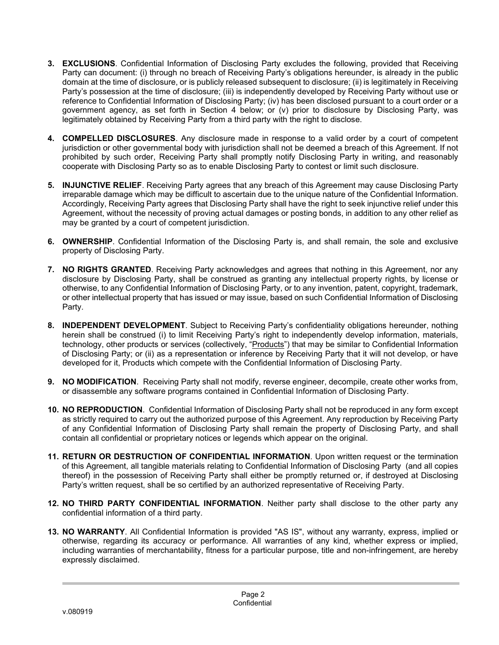- **3. EXCLUSIONS**. Confidential Information of Disclosing Party excludes the following, provided that Receiving Party can document: (i) through no breach of Receiving Party's obligations hereunder, is already in the public domain at the time of disclosure, or is publicly released subsequent to disclosure; (ii) is legitimately in Receiving Party's possession at the time of disclosure; (iii) is independently developed by Receiving Party without use or reference to Confidential Information of Disclosing Party; (iv) has been disclosed pursuant to a court order or a government agency, as set forth in Section 4 below; or (v) prior to disclosure by Disclosing Party, was legitimately obtained by Receiving Party from a third party with the right to disclose.
- **4. COMPELLED DISCLOSURES**. Any disclosure made in response to a valid order by a court of competent jurisdiction or other governmental body with jurisdiction shall not be deemed a breach of this Agreement. If not prohibited by such order, Receiving Party shall promptly notify Disclosing Party in writing, and reasonably cooperate with Disclosing Party so as to enable Disclosing Party to contest or limit such disclosure.
- **5. INJUNCTIVE RELIEF**. Receiving Party agrees that any breach of this Agreement may cause Disclosing Party irreparable damage which may be difficult to ascertain due to the unique nature of the Confidential Information. Accordingly, Receiving Party agrees that Disclosing Party shall have the right to seek injunctive relief under this Agreement, without the necessity of proving actual damages or posting bonds, in addition to any other relief as may be granted by a court of competent jurisdiction.
- **6. OWNERSHIP**. Confidential Information of the Disclosing Party is, and shall remain, the sole and exclusive property of Disclosing Party.
- **7. NO RIGHTS GRANTED**. Receiving Party acknowledges and agrees that nothing in this Agreement, nor any disclosure by Disclosing Party, shall be construed as granting any intellectual property rights, by license or otherwise, to any Confidential Information of Disclosing Party, or to any invention, patent, copyright, trademark, or other intellectual property that has issued or may issue, based on such Confidential Information of Disclosing Party.
- **8. INDEPENDENT DEVELOPMENT**. Subject to Receiving Party's confidentiality obligations hereunder, nothing herein shall be construed (i) to limit Receiving Party's right to independently develop information, materials, technology, other products or services (collectively, "Products") that may be similar to Confidential Information of Disclosing Party; or (ii) as a representation or inference by Receiving Party that it will not develop, or have developed for it, Products which compete with the Confidential Information of Disclosing Party.
- **9. NO MODIFICATION**. Receiving Party shall not modify, reverse engineer, decompile, create other works from, or disassemble any software programs contained in Confidential Information of Disclosing Party.
- **10. NO REPRODUCTION**. Confidential Information of Disclosing Party shall not be reproduced in any form except as strictly required to carry out the authorized purpose of this Agreement. Any reproduction by Receiving Party of any Confidential Information of Disclosing Party shall remain the property of Disclosing Party, and shall contain all confidential or proprietary notices or legends which appear on the original.
- **11. RETURN OR DESTRUCTION OF CONFIDENTIAL INFORMATION**. Upon written request or the termination of this Agreement, all tangible materials relating to Confidential Information of Disclosing Party (and all copies thereof) in the possession of Receiving Party shall either be promptly returned or, if destroyed at Disclosing Party's written request, shall be so certified by an authorized representative of Receiving Party.
- **12. NO THIRD PARTY CONFIDENTIAL INFORMATION**. Neither party shall disclose to the other party any confidential information of a third party.
- **13. NO WARRANTY**. All Confidential Information is provided "AS IS", without any warranty, express, implied or otherwise, regarding its accuracy or performance. All warranties of any kind, whether express or implied, including warranties of merchantability, fitness for a particular purpose, title and non-infringement, are hereby expressly disclaimed.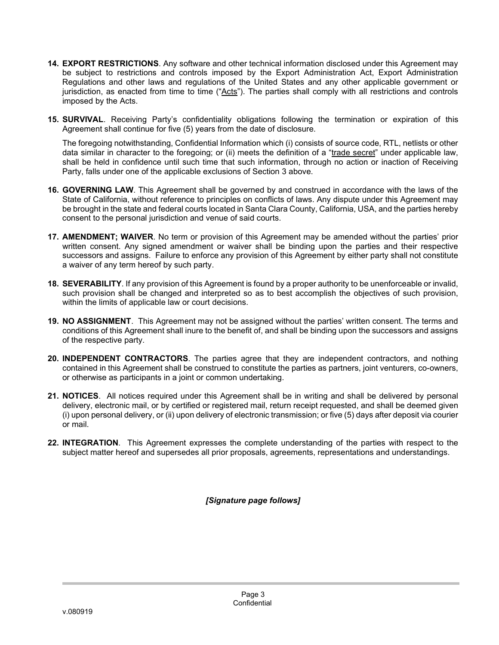- **14. EXPORT RESTRICTIONS**. Any software and other technical information disclosed under this Agreement may be subject to restrictions and controls imposed by the Export Administration Act, Export Administration Regulations and other laws and regulations of the United States and any other applicable government or jurisdiction, as enacted from time to time ("Acts"). The parties shall comply with all restrictions and controls imposed by the Acts.
- **15. SURVIVAL**. Receiving Party's confidentiality obligations following the termination or expiration of this Agreement shall continue for five (5) years from the date of disclosure.

The foregoing notwithstanding, Confidential Information which (i) consists of source code, RTL, netlists or other data similar in character to the foregoing; or (ii) meets the definition of a "trade secret" under applicable law, shall be held in confidence until such time that such information, through no action or inaction of Receiving Party, falls under one of the applicable exclusions of Section 3 above.

- **16. GOVERNING LAW**. This Agreement shall be governed by and construed in accordance with the laws of the State of California, without reference to principles on conflicts of laws. Any dispute under this Agreement may be brought in the state and federal courts located in Santa Clara County, California, USA, and the parties hereby consent to the personal jurisdiction and venue of said courts.
- **17. AMENDMENT; WAIVER**. No term or provision of this Agreement may be amended without the parties' prior written consent. Any signed amendment or waiver shall be binding upon the parties and their respective successors and assigns. Failure to enforce any provision of this Agreement by either party shall not constitute a waiver of any term hereof by such party.
- **18. SEVERABILITY**. If any provision of this Agreement is found by a proper authority to be unenforceable or invalid, such provision shall be changed and interpreted so as to best accomplish the objectives of such provision, within the limits of applicable law or court decisions.
- **19. NO ASSIGNMENT**. This Agreement may not be assigned without the parties' written consent. The terms and conditions of this Agreement shall inure to the benefit of, and shall be binding upon the successors and assigns of the respective party.
- **20. INDEPENDENT CONTRACTORS**. The parties agree that they are independent contractors, and nothing contained in this Agreement shall be construed to constitute the parties as partners, joint venturers, co-owners, or otherwise as participants in a joint or common undertaking.
- **21. NOTICES**. All notices required under this Agreement shall be in writing and shall be delivered by personal delivery, electronic mail, or by certified or registered mail, return receipt requested, and shall be deemed given (i) upon personal delivery, or (ii) upon delivery of electronic transmission; or five (5) days after deposit via courier or mail.
- **22. INTEGRATION**. This Agreement expresses the complete understanding of the parties with respect to the subject matter hereof and supersedes all prior proposals, agreements, representations and understandings.

*[Signature page follows]*